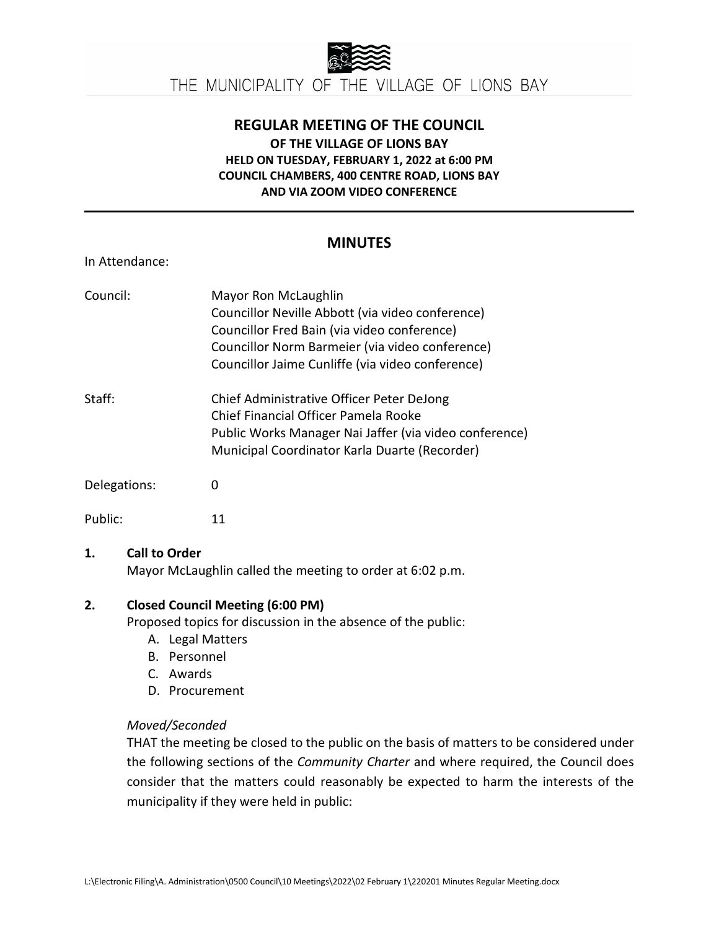

# **REGULAR MEETING OF THE COUNCIL OF THE VILLAGE OF LIONS BAY HELD ON TUESDAY, FEBRUARY 1, 2022 at 6:00 PM COUNCIL CHAMBERS, 400 CENTRE ROAD, LIONS BAY AND VIA ZOOM VIDEO CONFERENCE**

## **MINUTES**

In Attendance:

| Council:     | Mayor Ron McLaughlin<br>Councillor Neville Abbott (via video conference)<br>Councillor Fred Bain (via video conference)<br>Councillor Norm Barmeier (via video conference)<br>Councillor Jaime Cunliffe (via video conference) |
|--------------|--------------------------------------------------------------------------------------------------------------------------------------------------------------------------------------------------------------------------------|
| Staff:       | Chief Administrative Officer Peter DeJong<br>Chief Financial Officer Pamela Rooke<br>Public Works Manager Nai Jaffer (via video conference)<br>Municipal Coordinator Karla Duarte (Recorder)                                   |
| Delegations: | O                                                                                                                                                                                                                              |
| Public:      |                                                                                                                                                                                                                                |

#### **1. Call to Order**

Mayor McLaughlin called the meeting to order at 6:02 p.m.

#### **2. Closed Council Meeting (6:00 PM)**

Proposed topics for discussion in the absence of the public:

- A. Legal Matters
- B. Personnel
- C. Awards
- D. Procurement

## *Moved/Seconded*

THAT the meeting be closed to the public on the basis of matters to be considered under the following sections of the *Community Charter* and where required, the Council does consider that the matters could reasonably be expected to harm the interests of the municipality if they were held in public: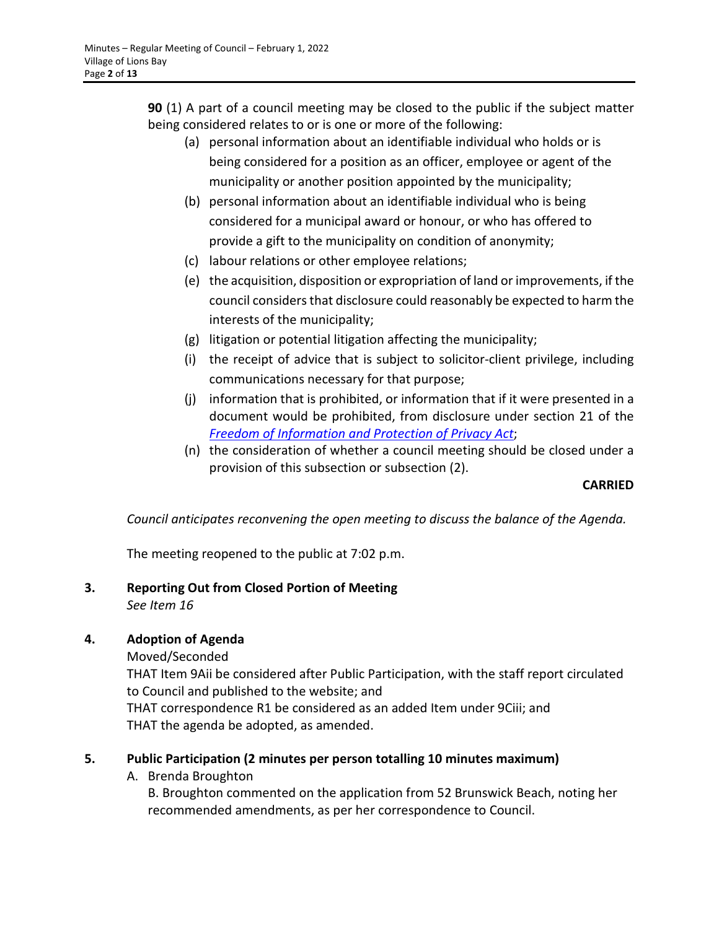**90** (1) A part of a council meeting may be closed to the public if the subject matter being considered relates to or is one or more of the following:

- (a) personal information about an identifiable individual who holds or is being considered for a position as an officer, employee or agent of the municipality or another position appointed by the municipality;
- (b) personal information about an identifiable individual who is being considered for a municipal award or honour, or who has offered to provide a gift to the municipality on condition of anonymity;
- (c) labour relations or other employee relations;
- (e) the acquisition, disposition or expropriation of land or improvements, if the council considers that disclosure could reasonably be expected to harm the interests of the municipality;
- (g) litigation or potential litigation affecting the municipality;
- (i) the receipt of advice that is subject to solicitor-client privilege, including communications necessary for that purpose;
- (j) information that is prohibited, or information that if it were presented in a document would be prohibited, from disclosure under section 21 of the *[Freedom of Information and Protection of Privacy Act](https://www.bclaws.gov.bc.ca/civix/document/id/complete/statreg/96165_00)*;
- (n) the consideration of whether a council meeting should be closed under a provision of this subsection or subsection (2).

## **CARRIED**

*Council anticipates reconvening the open meeting to discuss the balance of the Agenda.*

The meeting reopened to the public at 7:02 p.m.

**3. Reporting Out from Closed Portion of Meeting** *See Item 16*

# **4. Adoption of Agenda**

Moved/Seconded

THAT Item 9Aii be considered after Public Participation, with the staff report circulated to Council and published to the website; and

THAT correspondence R1 be considered as an added Item under 9Ciii; and THAT the agenda be adopted, as amended.

# **5. Public Participation (2 minutes per person totalling 10 minutes maximum)**

A. Brenda Broughton

B. Broughton commented on the application from 52 Brunswick Beach, noting her recommended amendments, as per her correspondence to Council.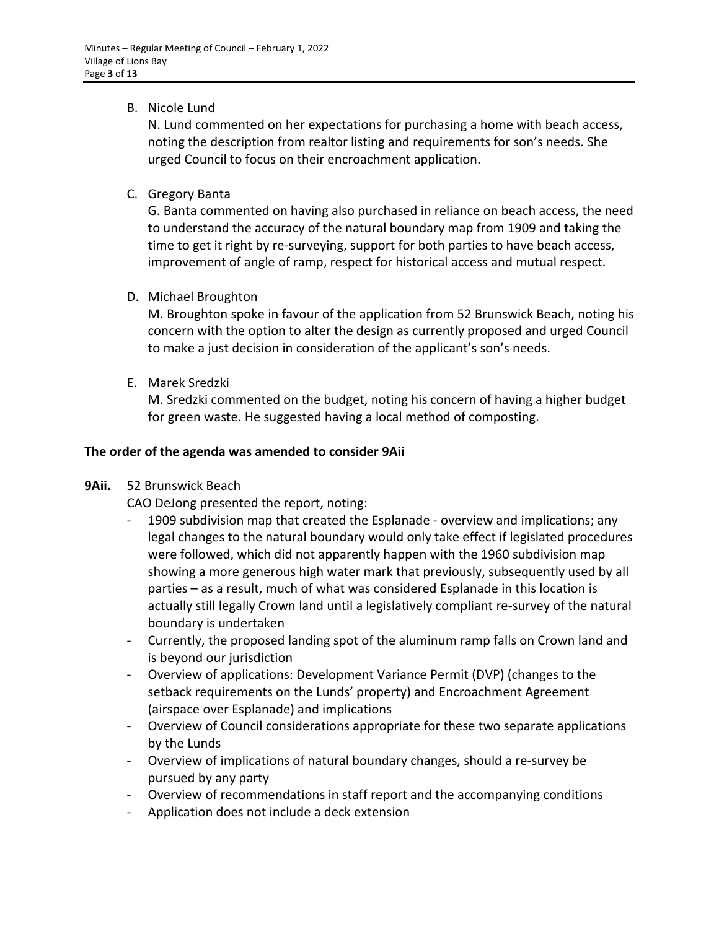## B. Nicole Lund

N. Lund commented on her expectations for purchasing a home with beach access, noting the description from realtor listing and requirements for son's needs. She urged Council to focus on their encroachment application.

C. Gregory Banta

G. Banta commented on having also purchased in reliance on beach access, the need to understand the accuracy of the natural boundary map from 1909 and taking the time to get it right by re-surveying, support for both parties to have beach access, improvement of angle of ramp, respect for historical access and mutual respect.

D. Michael Broughton

M. Broughton spoke in favour of the application from 52 Brunswick Beach, noting his concern with the option to alter the design as currently proposed and urged Council to make a just decision in consideration of the applicant's son's needs.

E. Marek Sredzki

M. Sredzki commented on the budget, noting his concern of having a higher budget for green waste. He suggested having a local method of composting.

## **The order of the agenda was amended to consider 9Aii**

## **9Aii.** 52 Brunswick Beach

CAO DeJong presented the report, noting:

- 1909 subdivision map that created the Esplanade overview and implications; any legal changes to the natural boundary would only take effect if legislated procedures were followed, which did not apparently happen with the 1960 subdivision map showing a more generous high water mark that previously, subsequently used by all parties – as a result, much of what was considered Esplanade in this location is actually still legally Crown land until a legislatively compliant re-survey of the natural boundary is undertaken
- Currently, the proposed landing spot of the aluminum ramp falls on Crown land and is beyond our jurisdiction
- Overview of applications: Development Variance Permit (DVP) (changes to the setback requirements on the Lunds' property) and Encroachment Agreement (airspace over Esplanade) and implications
- Overview of Council considerations appropriate for these two separate applications by the Lunds
- Overview of implications of natural boundary changes, should a re-survey be pursued by any party
- Overview of recommendations in staff report and the accompanying conditions
- Application does not include a deck extension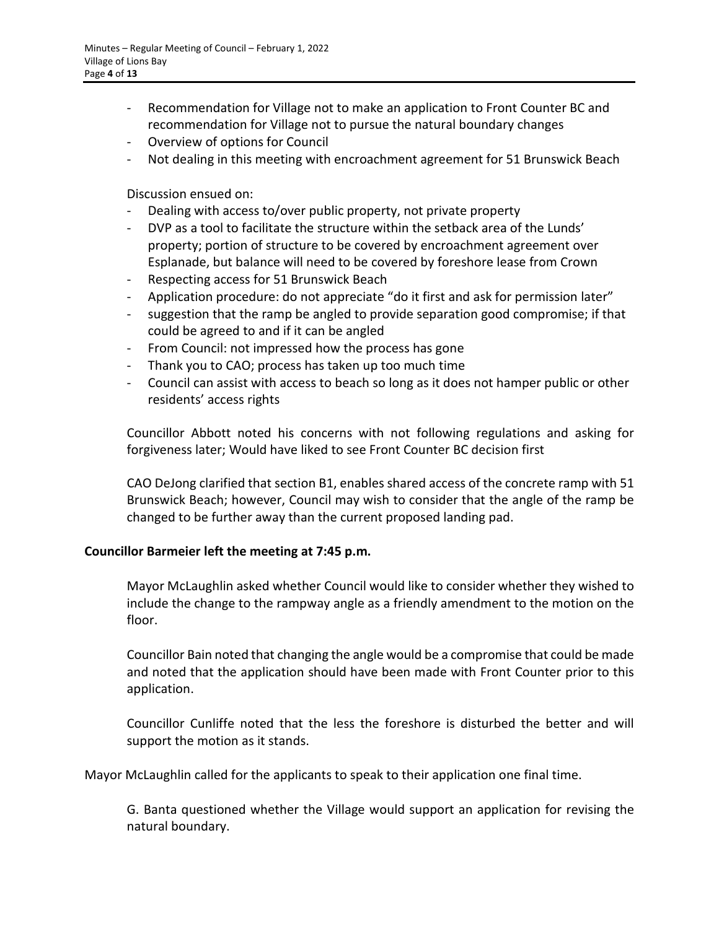- Recommendation for Village not to make an application to Front Counter BC and recommendation for Village not to pursue the natural boundary changes
- Overview of options for Council
- Not dealing in this meeting with encroachment agreement for 51 Brunswick Beach

Discussion ensued on:

- Dealing with access to/over public property, not private property
- DVP as a tool to facilitate the structure within the setback area of the Lunds' property; portion of structure to be covered by encroachment agreement over Esplanade, but balance will need to be covered by foreshore lease from Crown
- Respecting access for 51 Brunswick Beach
- Application procedure: do not appreciate "do it first and ask for permission later"
- suggestion that the ramp be angled to provide separation good compromise; if that could be agreed to and if it can be angled
- From Council: not impressed how the process has gone
- Thank you to CAO; process has taken up too much time
- Council can assist with access to beach so long as it does not hamper public or other residents' access rights

Councillor Abbott noted his concerns with not following regulations and asking for forgiveness later; Would have liked to see Front Counter BC decision first

CAO DeJong clarified that section B1, enables shared access of the concrete ramp with 51 Brunswick Beach; however, Council may wish to consider that the angle of the ramp be changed to be further away than the current proposed landing pad.

## **Councillor Barmeier left the meeting at 7:45 p.m.**

Mayor McLaughlin asked whether Council would like to consider whether they wished to include the change to the rampway angle as a friendly amendment to the motion on the floor.

Councillor Bain noted that changing the angle would be a compromise that could be made and noted that the application should have been made with Front Counter prior to this application.

Councillor Cunliffe noted that the less the foreshore is disturbed the better and will support the motion as it stands.

Mayor McLaughlin called for the applicants to speak to their application one final time.

G. Banta questioned whether the Village would support an application for revising the natural boundary.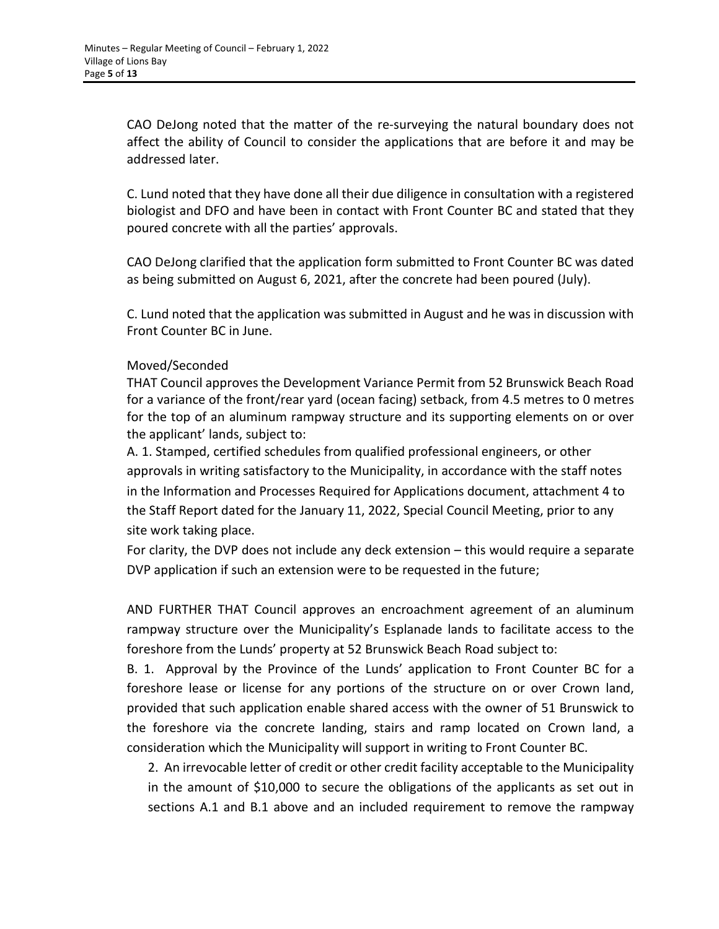CAO DeJong noted that the matter of the re-surveying the natural boundary does not affect the ability of Council to consider the applications that are before it and may be addressed later.

C. Lund noted that they have done all their due diligence in consultation with a registered biologist and DFO and have been in contact with Front Counter BC and stated that they poured concrete with all the parties' approvals.

CAO DeJong clarified that the application form submitted to Front Counter BC was dated as being submitted on August 6, 2021, after the concrete had been poured (July).

C. Lund noted that the application was submitted in August and he was in discussion with Front Counter BC in June.

## Moved/Seconded

THAT Council approves the Development Variance Permit from 52 Brunswick Beach Road for a variance of the front/rear yard (ocean facing) setback, from 4.5 metres to 0 metres for the top of an aluminum rampway structure and its supporting elements on or over the applicant' lands, subject to:

A. 1. Stamped, certified schedules from qualified professional engineers, or other approvals in writing satisfactory to the Municipality, in accordance with the staff notes in the Information and Processes Required for Applications document, attachment 4 to the Staff Report dated for the January 11, 2022, Special Council Meeting, prior to any site work taking place.

For clarity, the DVP does not include any deck extension – this would require a separate DVP application if such an extension were to be requested in the future;

AND FURTHER THAT Council approves an encroachment agreement of an aluminum rampway structure over the Municipality's Esplanade lands to facilitate access to the foreshore from the Lunds' property at 52 Brunswick Beach Road subject to:

B. 1. Approval by the Province of the Lunds' application to Front Counter BC for a foreshore lease or license for any portions of the structure on or over Crown land, provided that such application enable shared access with the owner of 51 Brunswick to the foreshore via the concrete landing, stairs and ramp located on Crown land, a consideration which the Municipality will support in writing to Front Counter BC.

2. An irrevocable letter of credit or other credit facility acceptable to the Municipality in the amount of \$10,000 to secure the obligations of the applicants as set out in sections A.1 and B.1 above and an included requirement to remove the rampway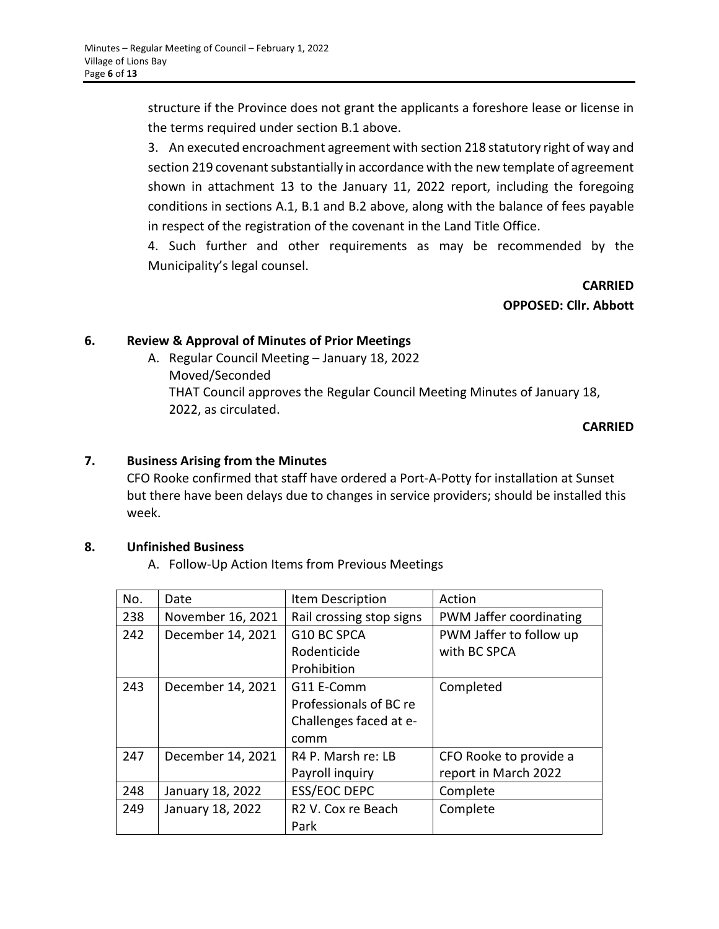structure if the Province does not grant the applicants a foreshore lease or license in the terms required under section B.1 above.

3. An executed encroachment agreement with section 218 statutory right of way and section 219 covenant substantially in accordance with the new template of agreement shown in attachment 13 to the January 11, 2022 report, including the foregoing conditions in sections A.1, B.1 and B.2 above, along with the balance of fees payable in respect of the registration of the covenant in the Land Title Office.

4. Such further and other requirements as may be recommended by the Municipality's legal counsel.

> **CARRIED OPPOSED: Cllr. Abbott**

## **6. Review & Approval of Minutes of Prior Meetings**

A. Regular Council Meeting – January 18, 2022 Moved/Seconded THAT Council approves the Regular Council Meeting Minutes of January 18, 2022, as circulated.

**CARRIED**

## **7. Business Arising from the Minutes**

CFO Rooke confirmed that staff have ordered a Port-A-Potty for installation at Sunset but there have been delays due to changes in service providers; should be installed this week.

## **8. Unfinished Business**

A. Follow-Up Action Items from Previous Meetings

| No. | Date              | Item Description               | Action                  |
|-----|-------------------|--------------------------------|-------------------------|
| 238 | November 16, 2021 | Rail crossing stop signs       | PWM Jaffer coordinating |
| 242 | December 14, 2021 | G10 BC SPCA                    | PWM Jaffer to follow up |
|     |                   | Rodenticide                    | with BC SPCA            |
|     |                   | Prohibition                    |                         |
| 243 | December 14, 2021 | G11 E-Comm                     | Completed               |
|     |                   | Professionals of BC re         |                         |
|     |                   | Challenges faced at e-         |                         |
|     |                   | comm                           |                         |
| 247 | December 14, 2021 | R4 P. Marsh re: LB             | CFO Rooke to provide a  |
|     |                   | Payroll inquiry                | report in March 2022    |
| 248 | January 18, 2022  | <b>ESS/EOC DEPC</b>            | Complete                |
| 249 | January 18, 2022  | R <sub>2</sub> V. Cox re Beach | Complete                |
|     |                   | Park                           |                         |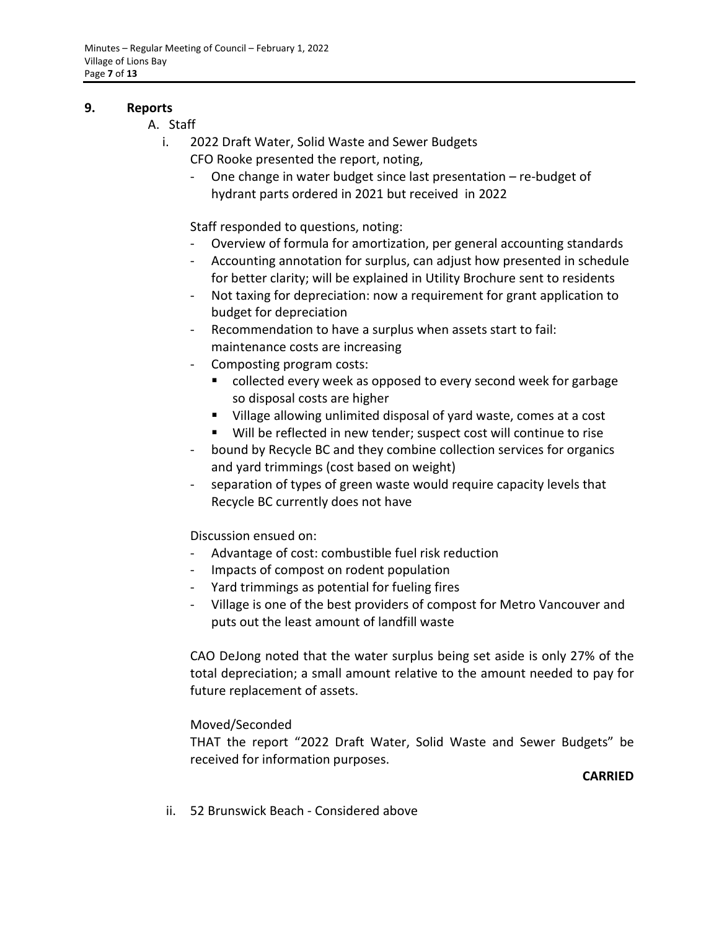#### **9. Reports**

- A. Staff
	- i. 2022 Draft Water, Solid Waste and Sewer Budgets CFO Rooke presented the report, noting,
		- One change in water budget since last presentation  $-$  re-budget of hydrant parts ordered in 2021 but received in 2022

Staff responded to questions, noting:

- Overview of formula for amortization, per general accounting standards
- Accounting annotation for surplus, can adjust how presented in schedule for better clarity; will be explained in Utility Brochure sent to residents
- Not taxing for depreciation: now a requirement for grant application to budget for depreciation
- Recommendation to have a surplus when assets start to fail: maintenance costs are increasing
- Composting program costs:
	- collected every week as opposed to every second week for garbage so disposal costs are higher
	- Village allowing unlimited disposal of yard waste, comes at a cost
	- Will be reflected in new tender; suspect cost will continue to rise
- bound by Recycle BC and they combine collection services for organics and yard trimmings (cost based on weight)
- separation of types of green waste would require capacity levels that Recycle BC currently does not have

Discussion ensued on:

- Advantage of cost: combustible fuel risk reduction
- Impacts of compost on rodent population
- Yard trimmings as potential for fueling fires
- Village is one of the best providers of compost for Metro Vancouver and puts out the least amount of landfill waste

CAO DeJong noted that the water surplus being set aside is only 27% of the total depreciation; a small amount relative to the amount needed to pay for future replacement of assets.

## Moved/Seconded

THAT the report "2022 Draft Water, Solid Waste and Sewer Budgets" be received for information purposes.

## **CARRIED**

ii. 52 Brunswick Beach - Considered above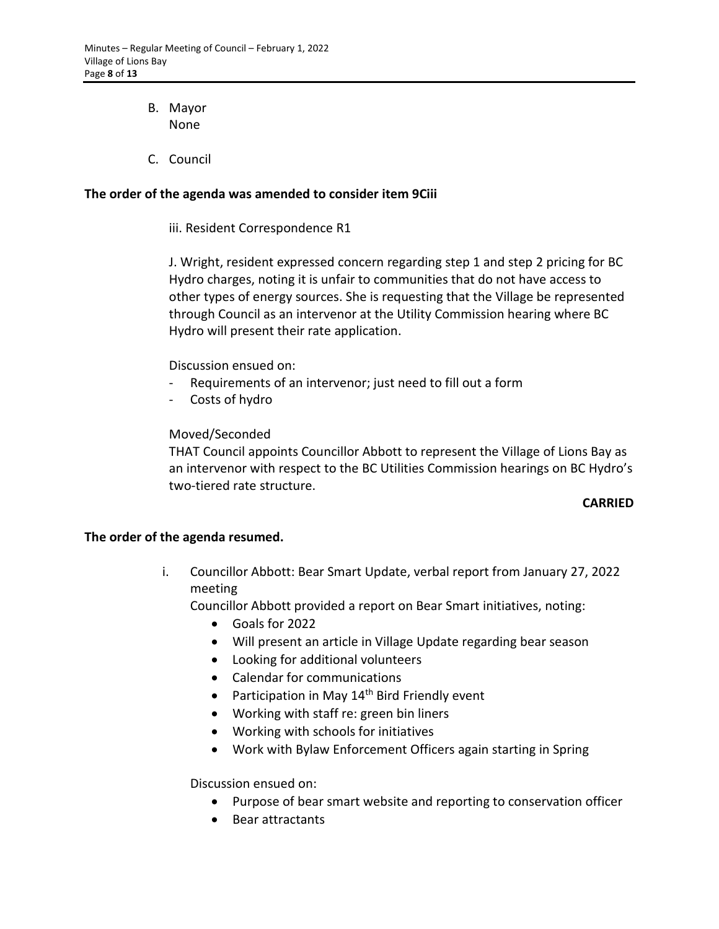- B. Mayor None
- C. Council

## **The order of the agenda was amended to consider item 9Ciii**

iii. Resident Correspondence R1

J. Wright, resident expressed concern regarding step 1 and step 2 pricing for BC Hydro charges, noting it is unfair to communities that do not have access to other types of energy sources. She is requesting that the Village be represented through Council as an intervenor at the Utility Commission hearing where BC Hydro will present their rate application.

## Discussion ensued on:

- Requirements of an intervenor; just need to fill out a form
- Costs of hydro

## Moved/Seconded

THAT Council appoints Councillor Abbott to represent the Village of Lions Bay as an intervenor with respect to the BC Utilities Commission hearings on BC Hydro's two-tiered rate structure.

## **CARRIED**

## **The order of the agenda resumed.**

i. Councillor Abbott: Bear Smart Update, verbal report from January 27, 2022 meeting

Councillor Abbott provided a report on Bear Smart initiatives, noting:

- Goals for 2022
- Will present an article in Village Update regarding bear season
- Looking for additional volunteers
- Calendar for communications
- Participation in May  $14<sup>th</sup>$  Bird Friendly event
- Working with staff re: green bin liners
- Working with schools for initiatives
- Work with Bylaw Enforcement Officers again starting in Spring

Discussion ensued on:

- Purpose of bear smart website and reporting to conservation officer
- Bear attractants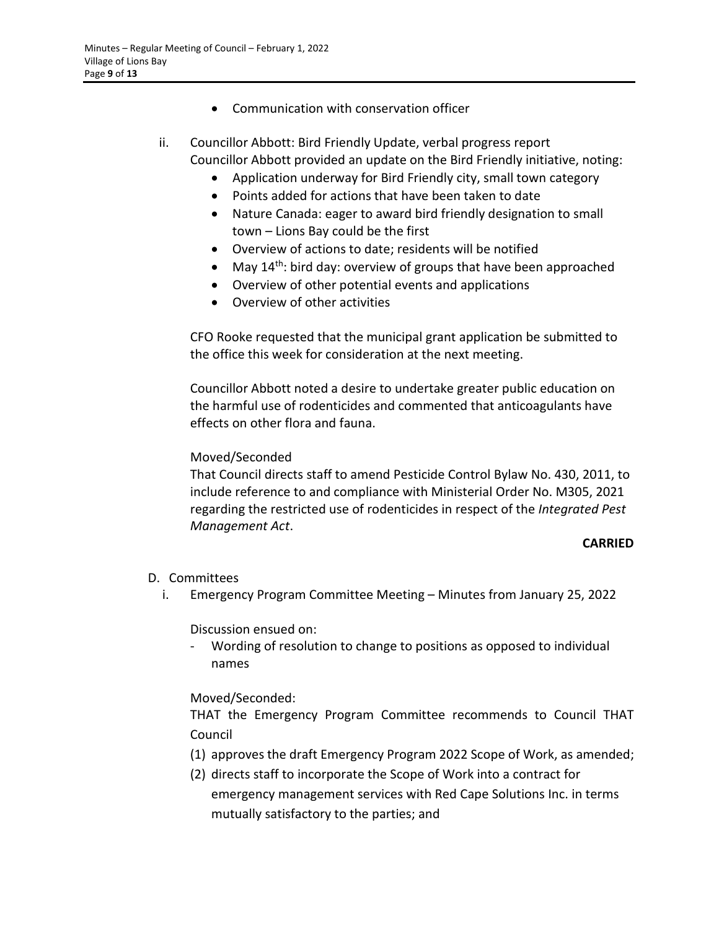- Communication with conservation officer
- ii. Councillor Abbott: Bird Friendly Update, verbal progress report Councillor Abbott provided an update on the Bird Friendly initiative, noting:
	- Application underway for Bird Friendly city, small town category
	- Points added for actions that have been taken to date
	- Nature Canada: eager to award bird friendly designation to small town – Lions Bay could be the first
	- Overview of actions to date; residents will be notified
	- May  $14^{th}$ : bird day: overview of groups that have been approached
	- Overview of other potential events and applications
	- Overview of other activities

CFO Rooke requested that the municipal grant application be submitted to the office this week for consideration at the next meeting.

Councillor Abbott noted a desire to undertake greater public education on the harmful use of rodenticides and commented that anticoagulants have effects on other flora and fauna.

## Moved/Seconded

That Council directs staff to amend Pesticide Control Bylaw No. 430, 2011, to include reference to and compliance with Ministerial Order No. M305, 2021 regarding the restricted use of rodenticides in respect of the *Integrated Pest Management Act*.

## **CARRIED**

# D. Committees

i. Emergency Program Committee Meeting – Minutes from January 25, 2022

Discussion ensued on:

Wording of resolution to change to positions as opposed to individual names

# Moved/Seconded:

THAT the Emergency Program Committee recommends to Council THAT Council

- (1) approves the draft Emergency Program 2022 Scope of Work, as amended;
- (2) directs staff to incorporate the Scope of Work into a contract for emergency management services with Red Cape Solutions Inc. in terms mutually satisfactory to the parties; and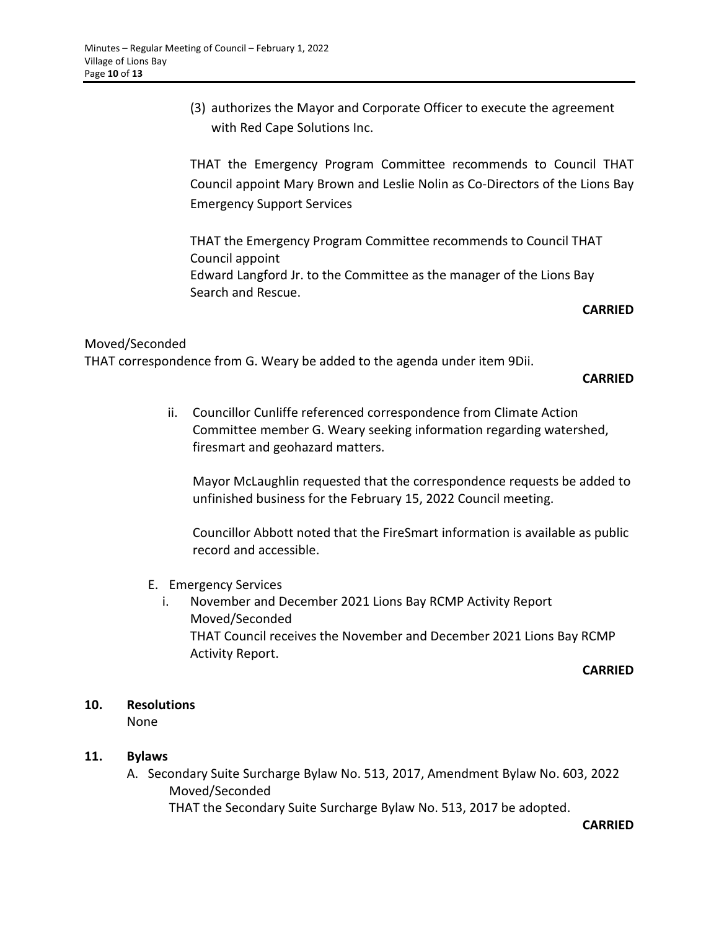(3) authorizes the Mayor and Corporate Officer to execute the agreement with Red Cape Solutions Inc.

THAT the Emergency Program Committee recommends to Council THAT Council appoint Mary Brown and Leslie Nolin as Co-Directors of the Lions Bay Emergency Support Services

THAT the Emergency Program Committee recommends to Council THAT Council appoint Edward Langford Jr. to the Committee as the manager of the Lions Bay Search and Rescue.

#### **CARRIED**

## Moved/Seconded

THAT correspondence from G. Weary be added to the agenda under item 9Dii.

#### **CARRIED**

ii. Councillor Cunliffe referenced correspondence from Climate Action Committee member G. Weary seeking information regarding watershed, firesmart and geohazard matters.

Mayor McLaughlin requested that the correspondence requests be added to unfinished business for the February 15, 2022 Council meeting.

Councillor Abbott noted that the FireSmart information is available as public record and accessible.

- E. Emergency Services
	- i. November and December 2021 Lions Bay RCMP Activity Report Moved/Seconded THAT Council receives the November and December 2021 Lions Bay RCMP Activity Report.

#### **CARRIED**

#### **10. Resolutions**

None

## **11. Bylaws**

A. Secondary Suite Surcharge Bylaw No. 513, 2017, Amendment Bylaw No. 603, 2022 Moved/Seconded

THAT the Secondary Suite Surcharge Bylaw No. 513, 2017 be adopted.

**CARRIED**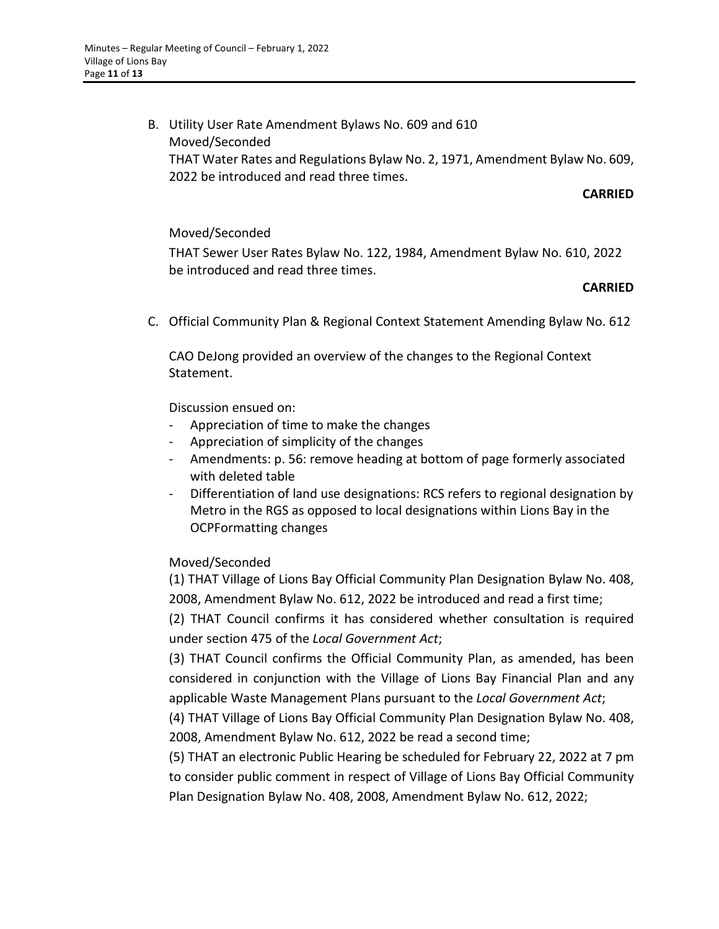B. Utility User Rate Amendment Bylaws No. 609 and 610 Moved/Seconded THAT Water Rates and Regulations Bylaw No. 2, 1971, Amendment Bylaw No. 609, 2022 be introduced and read three times.

#### **CARRIED**

## Moved/Seconded

THAT Sewer User Rates Bylaw No. 122, 1984, Amendment Bylaw No. 610, 2022 be introduced and read three times.

#### **CARRIED**

C. Official Community Plan & Regional Context Statement Amending Bylaw No. 612

CAO DeJong provided an overview of the changes to the Regional Context Statement.

Discussion ensued on:

- Appreciation of time to make the changes
- Appreciation of simplicity of the changes
- Amendments: p. 56: remove heading at bottom of page formerly associated with deleted table
- Differentiation of land use designations: RCS refers to regional designation by Metro in the RGS as opposed to local designations within Lions Bay in the OCPFormatting changes

## Moved/Seconded

(1) THAT Village of Lions Bay Official Community Plan Designation Bylaw No. 408, 2008, Amendment Bylaw No. 612, 2022 be introduced and read a first time;

(2) THAT Council confirms it has considered whether consultation is required under section 475 of the *Local Government Act*;

(3) THAT Council confirms the Official Community Plan, as amended, has been considered in conjunction with the Village of Lions Bay Financial Plan and any applicable Waste Management Plans pursuant to the *Local Government Act*;

(4) THAT Village of Lions Bay Official Community Plan Designation Bylaw No. 408, 2008, Amendment Bylaw No. 612, 2022 be read a second time;

(5) THAT an electronic Public Hearing be scheduled for February 22, 2022 at 7 pm to consider public comment in respect of Village of Lions Bay Official Community Plan Designation Bylaw No. 408, 2008, Amendment Bylaw No. 612, 2022;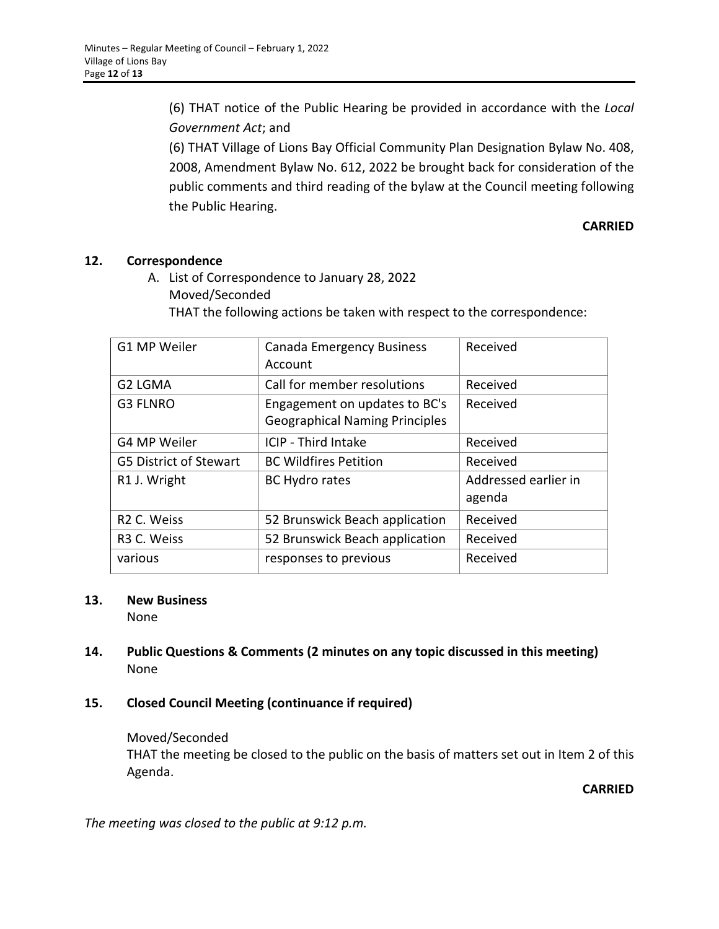(6) THAT notice of the Public Hearing be provided in accordance with the *Local Government Act*; and

(6) THAT Village of Lions Bay Official Community Plan Designation Bylaw No. 408, 2008, Amendment Bylaw No. 612, 2022 be brought back for consideration of the public comments and third reading of the bylaw at the Council meeting following the Public Hearing.

## **CARRIED**

## **12. Correspondence**

A. List of Correspondence to January 28, 2022 Moved/Seconded

THAT the following actions be taken with respect to the correspondence:

| G1 MP Weiler                  | <b>Canada Emergency Business</b><br>Account                            | Received                       |
|-------------------------------|------------------------------------------------------------------------|--------------------------------|
| G2 LGMA                       | Call for member resolutions                                            | Received                       |
| <b>G3 FLNRO</b>               | Engagement on updates to BC's<br><b>Geographical Naming Principles</b> | Received                       |
| G4 MP Weiler                  | <b>ICIP - Third Intake</b>                                             | Received                       |
| <b>G5 District of Stewart</b> | <b>BC Wildfires Petition</b>                                           | Received                       |
| R1 J. Wright                  | <b>BC Hydro rates</b>                                                  | Addressed earlier in<br>agenda |
| R <sub>2</sub> C. Weiss       | 52 Brunswick Beach application                                         | Received                       |
| R <sub>3</sub> C. Weiss       | 52 Brunswick Beach application                                         | Received                       |
| various                       | responses to previous                                                  | Received                       |

## **13. New Business**

None

- **14. Public Questions & Comments (2 minutes on any topic discussed in this meeting)** None
- **15. Closed Council Meeting (continuance if required)**

Moved/Seconded THAT the meeting be closed to the public on the basis of matters set out in Item 2 of this Agenda.

**CARRIED**

*The meeting was closed to the public at 9:12 p.m.*